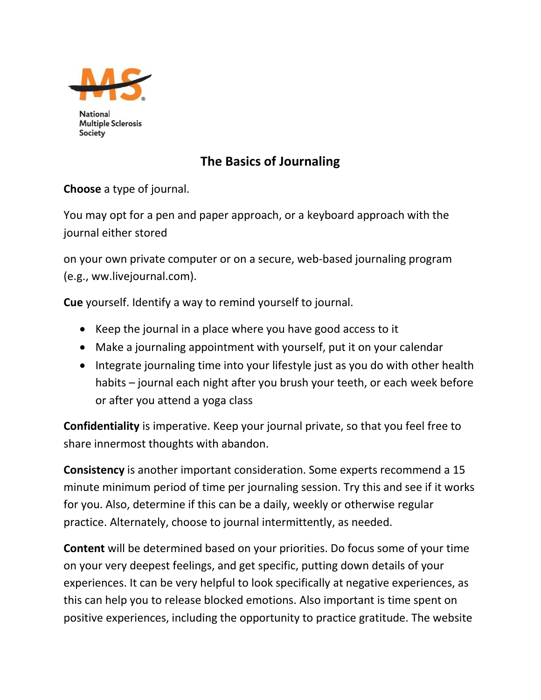

**National Multiple Sclerosis Society** 

## **The Basics of Journaling**

**Choose** a type of journal.

You may opt for a pen and paper approach, or a keyboard approach with the journal either stored

on your own private computer or on a secure, web-based journaling program (e.g., ww.livejournal.com).

**Cue** yourself. Identify a way to remind yourself to journal.

- Keep the journal in a place where you have good access to it
- Make a journaling appointment with yourself, put it on your calendar
- Integrate journaling time into your lifestyle just as you do with other health habits – journal each night after you brush your teeth, or each week before or after you attend a yoga class

**Confidentiality** is imperative. Keep your journal private, so that you feel free to share innermost thoughts with abandon.

**Consistency** is another important consideration. Some experts recommend a 15 minute minimum period of time per journaling session. Try this and see if it works for you. Also, determine if this can be a daily, weekly or otherwise regular practice. Alternately, choose to journal intermittently, as needed.

**Content** will be determined based on your priorities. Do focus some of your time on your very deepest feelings, and get specific, putting down details of your experiences. It can be very helpful to look specifically at negative experiences, as this can help you to release blocked emotions. Also important is time spent on positive experiences, including the opportunity to practice gratitude. The website